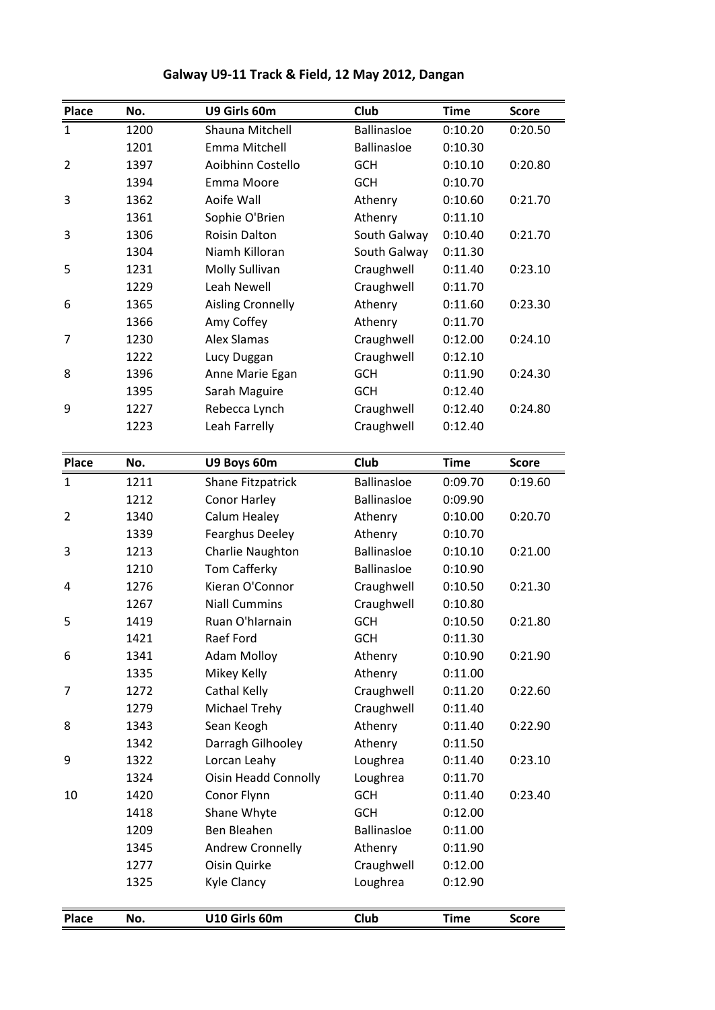|                |      | Galway U9-11 Track & Field, 12 May 2012, Dangan |                    |             |              |
|----------------|------|-------------------------------------------------|--------------------|-------------|--------------|
| Place          | No.  | U9 Girls 60m                                    | Club               | <b>Time</b> | <b>Score</b> |
| $\mathbf{1}$   | 1200 | Shauna Mitchell                                 | <b>Ballinasloe</b> | 0:10.20     | 0:20.50      |
|                | 1201 | Emma Mitchell                                   | <b>Ballinasloe</b> | 0:10.30     |              |
| 2              | 1397 | Aoibhinn Costello                               | <b>GCH</b>         | 0:10.10     | 0:20.80      |
|                | 1394 | Emma Moore                                      | <b>GCH</b>         | 0:10.70     |              |
| 3              | 1362 | Aoife Wall                                      | Athenry            | 0:10.60     | 0:21.70      |
|                | 1361 | Sophie O'Brien                                  | Athenry            | 0:11.10     |              |
| 3              | 1306 | <b>Roisin Dalton</b>                            | South Galway       | 0:10.40     | 0:21.70      |
|                | 1304 | Niamh Killoran                                  | South Galway       | 0:11.30     |              |
| 5              | 1231 | Molly Sullivan                                  | Craughwell         | 0:11.40     | 0:23.10      |
|                | 1229 | Leah Newell                                     | Craughwell         | 0:11.70     |              |
| 6              | 1365 | <b>Aisling Cronnelly</b>                        | Athenry            | 0:11.60     | 0:23.30      |
|                | 1366 | Amy Coffey                                      | Athenry            | 0:11.70     |              |
| 7              | 1230 | <b>Alex Slamas</b>                              | Craughwell         | 0:12.00     | 0:24.10      |
|                | 1222 | Lucy Duggan                                     | Craughwell         | 0:12.10     |              |
| 8              | 1396 | Anne Marie Egan                                 | <b>GCH</b>         | 0:11.90     | 0:24.30      |
|                | 1395 | Sarah Maguire                                   | <b>GCH</b>         | 0:12.40     |              |
| 9              | 1227 | Rebecca Lynch                                   | Craughwell         | 0:12.40     | 0:24.80      |
|                | 1223 | Leah Farrelly                                   | Craughwell         | 0:12.40     |              |
|                |      |                                                 |                    |             |              |
| <b>Place</b>   | No.  | U9 Boys 60m                                     | <b>Club</b>        | <b>Time</b> | <b>Score</b> |
| $\mathbf{1}$   | 1211 | Shane Fitzpatrick                               | <b>Ballinasloe</b> | 0:09.70     | 0:19.60      |
|                | 1212 | Conor Harley                                    | <b>Ballinasloe</b> | 0:09.90     |              |
| $\overline{2}$ | 1340 | Calum Healey                                    | Athenry            | 0:10.00     | 0:20.70      |
|                | 1339 | <b>Fearghus Deeley</b>                          | Athenry            | 0:10.70     |              |
| 3              | 1213 | Charlie Naughton                                | <b>Ballinasloe</b> | 0:10.10     | 0:21.00      |
|                | 1210 | Tom Cafferky                                    | <b>Ballinasloe</b> | 0:10.90     |              |
| 4              | 1276 | Kieran O'Connor                                 | Craughwell         | 0:10.50     | 0:21.30      |
|                | 1267 | <b>Niall Cummins</b>                            | Craughwell         | 0:10.80     |              |
| 5              | 1419 | Ruan O'hlarnain                                 | <b>GCH</b>         | 0:10.50     | 0:21.80      |
|                | 1421 | Raef Ford                                       | <b>GCH</b>         | 0:11.30     |              |
| 6              | 1341 | <b>Adam Molloy</b>                              | Athenry            | 0:10.90     | 0:21.90      |
|                | 1335 | Mikey Kelly                                     | Athenry            | 0:11.00     |              |
| 7              | 1272 | Cathal Kelly                                    | Craughwell         | 0:11.20     | 0:22.60      |
|                | 1279 | Michael Trehy                                   | Craughwell         | 0:11.40     |              |
| 8              | 1343 | Sean Keogh                                      | Athenry            | 0:11.40     | 0:22.90      |
|                | 1342 | Darragh Gilhooley                               | Athenry            | 0:11.50     |              |
| 9              | 1322 | Lorcan Leahy                                    | Loughrea           | 0:11.40     | 0:23.10      |
|                | 1324 | <b>Oisin Headd Connolly</b>                     | Loughrea           | 0:11.70     |              |
| 10             | 1420 | Conor Flynn                                     | <b>GCH</b>         | 0:11.40     | 0:23.40      |
|                | 1418 | Shane Whyte                                     | GCH                | 0:12.00     |              |
|                | 1209 | Ben Bleahen                                     | <b>Ballinasloe</b> | 0:11.00     |              |
|                | 1345 | Andrew Cronnelly                                | Athenry            | 0:11.90     |              |
|                | 1277 | Oisin Quirke                                    | Craughwell         | 0:12.00     |              |
|                | 1325 | Kyle Clancy                                     | Loughrea           | 0:12.90     |              |
|                |      |                                                 |                    |             |              |
|                |      |                                                 |                    |             |              |
| <b>Place</b>   | No.  | U10 Girls 60m                                   | Club               | <b>Time</b> | <b>Score</b> |

## **U9-11 Track & Field, <sup>12</sup> May 2012, Dangan**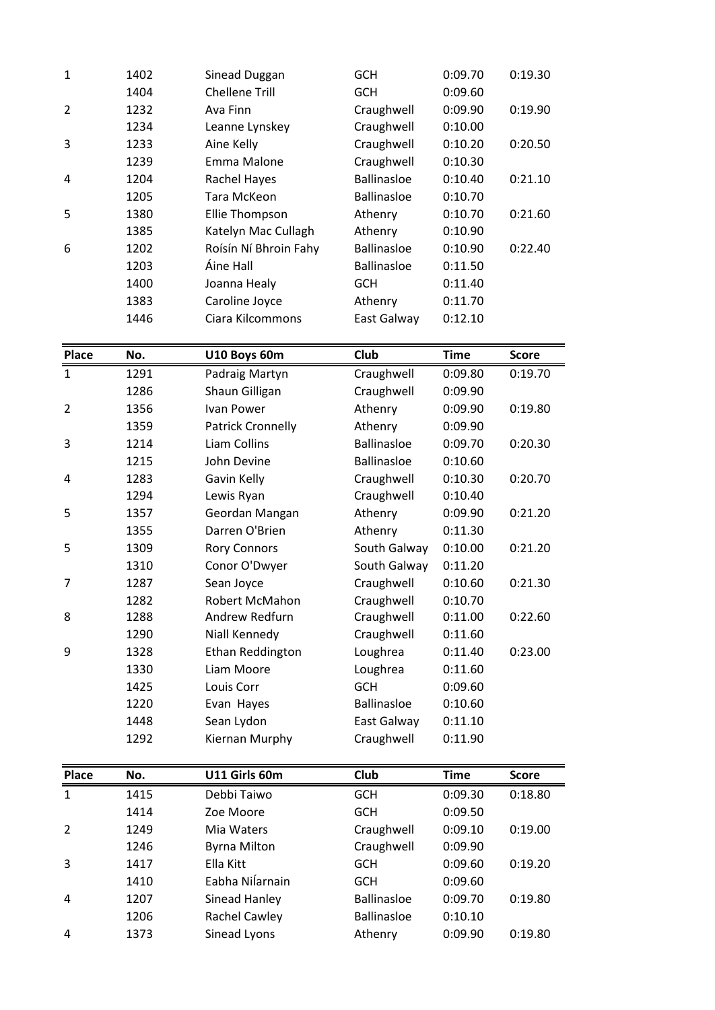| 1205<br>Tara McKeon<br>5<br>1380<br>Ellie Thompson<br>Katelyn Mac Cullagh<br>1385<br>Roísín Ní Bhroin Fahy<br>6<br>1202<br>Áine Hall<br>1203<br>1400<br>Joanna Healy<br>Caroline Joyce<br>1383<br>Ciara Kilcommons<br>1446<br>Place<br>U10 Boys 60m<br>No. | <b>Ballinasloe</b><br>Athenry<br>Athenry<br><b>Ballinasloe</b><br><b>Ballinasloe</b><br><b>GCH</b><br>Athenry<br>East Galway<br><b>Club</b> | 0:10.70<br>0:10.70<br>0:10.90<br>0:10.90<br>0:11.50<br>0:11.40<br>0:11.70<br>0:12.10<br><b>Time</b> | 0:21.60<br>0:22.40<br><b>Score</b> |
|------------------------------------------------------------------------------------------------------------------------------------------------------------------------------------------------------------------------------------------------------------|---------------------------------------------------------------------------------------------------------------------------------------------|-----------------------------------------------------------------------------------------------------|------------------------------------|
|                                                                                                                                                                                                                                                            |                                                                                                                                             |                                                                                                     |                                    |
|                                                                                                                                                                                                                                                            |                                                                                                                                             |                                                                                                     |                                    |
|                                                                                                                                                                                                                                                            |                                                                                                                                             |                                                                                                     |                                    |
|                                                                                                                                                                                                                                                            |                                                                                                                                             |                                                                                                     |                                    |
|                                                                                                                                                                                                                                                            |                                                                                                                                             |                                                                                                     |                                    |
|                                                                                                                                                                                                                                                            |                                                                                                                                             |                                                                                                     |                                    |
|                                                                                                                                                                                                                                                            |                                                                                                                                             |                                                                                                     |                                    |
|                                                                                                                                                                                                                                                            |                                                                                                                                             |                                                                                                     |                                    |
|                                                                                                                                                                                                                                                            |                                                                                                                                             |                                                                                                     |                                    |
|                                                                                                                                                                                                                                                            |                                                                                                                                             |                                                                                                     |                                    |
| Rachel Hayes<br>1204<br>4                                                                                                                                                                                                                                  | <b>Ballinasloe</b>                                                                                                                          | 0:10.40                                                                                             | 0:21.10                            |
| Emma Malone<br>1239                                                                                                                                                                                                                                        | Craughwell                                                                                                                                  | 0:10.30                                                                                             |                                    |
| 3<br>Aine Kelly<br>1233                                                                                                                                                                                                                                    | Craughwell                                                                                                                                  | 0:10.20                                                                                             | 0:20.50                            |
| 1234<br>Leanne Lynskey                                                                                                                                                                                                                                     | Craughwell                                                                                                                                  | 0:10.00                                                                                             |                                    |
| $\overline{2}$<br>1232<br>Ava Finn                                                                                                                                                                                                                         | Craughwell                                                                                                                                  | 0:09.90                                                                                             | 0:19.90                            |
| <b>Chellene Trill</b><br>1404                                                                                                                                                                                                                              | <b>GCH</b>                                                                                                                                  | 0:09.60                                                                                             |                                    |
| $\mathbf{1}$<br>1402<br>Sinead Duggan                                                                                                                                                                                                                      | <b>GCH</b>                                                                                                                                  | 0:09.70                                                                                             | 0:19.30                            |

|              | 1400 | JOdhna Healy        | חטט                | <b>U.IL.40</b> |              |
|--------------|------|---------------------|--------------------|----------------|--------------|
|              | 1383 | Caroline Joyce      | Athenry            | 0:11.70        |              |
|              | 1446 | Ciara Kilcommons    | East Galway        | 0:12.10        |              |
| <b>Place</b> | No.  | U10 Boys 60m        | Club               | <b>Time</b>    | <b>Score</b> |
| $\mathbf 1$  | 1291 | Padraig Martyn      | Craughwell         | 0:09.80        | 0:19.70      |
|              | 1286 | Shaun Gilligan      | Craughwell         | 0:09.90        |              |
| 2            | 1356 | <b>Ivan Power</b>   | Athenry            | 0:09.90        | 0:19.80      |
|              | 1359 | Patrick Cronnelly   | Athenry            | 0:09.90        |              |
| 3            | 1214 | Liam Collins        | <b>Ballinasloe</b> | 0:09.70        | 0:20.30      |
|              | 1215 | John Devine         | Ballinasloe        | 0:10.60        |              |
| 4            | 1283 | Gavin Kelly         | Craughwell         | 0:10.30        | 0:20.70      |
|              | 1294 | Lewis Ryan          | Craughwell         | 0:10.40        |              |
| 5            | 1357 | Geordan Mangan      | Athenry            | 0:09.90        | 0:21.20      |
|              | 1355 | Darren O'Brien      | Athenry            | 0:11.30        |              |
| 5            | 1309 | <b>Rory Connors</b> | South Galway       | 0:10.00        | 0:21.20      |
|              | 1310 | Conor O'Dwyer       | South Galway       | 0:11.20        |              |
| 7            | 1287 | Sean Joyce          | Craughwell         | 0:10.60        | 0:21.30      |
|              | 1282 | Robert McMahon      | Craughwell         | 0:10.70        |              |
| 8            | 1288 | Andrew Redfurn      | Craughwell         | 0:11.00        | 0:22.60      |
|              | 1290 | Niall Kennedy       | Craughwell         | 0:11.60        |              |
| 9            | 1328 | Ethan Reddington    | Loughrea           | 0:11.40        | 0:23.00      |
|              | 1330 | Liam Moore          | Loughrea           | 0:11.60        |              |
|              | 1425 | Louis Corr          | GCH                | 0:09.60        |              |
|              | 1220 | Evan Hayes          | <b>Ballinasloe</b> | 0:10.60        |              |
|              | 1448 | Sean Lydon          | East Galway        | 0:11.10        |              |
|              | 1292 | Kiernan Murphy      | Craughwell         | 0:11.90        |              |
| Place        | No.  | U11 Girls 60m       | Club               | <b>Time</b>    | <b>Score</b> |
| $\mathbf{1}$ | 1415 | Debbi Taiwo         | <b>GCH</b>         | 0:09.30        | 0:18.80      |
|              | 1414 | Zoe Moore           | <b>GCH</b>         | 0:09.50        |              |
| 2            | 1249 | Mia Waters          | Craughwell         | 0:09.10        | 0:19.00      |
|              | 1246 | <b>Byrna Milton</b> | Craughwell         | 0:09.90        |              |
| 3            | 1417 | Ella Kitt           | <b>GCH</b>         | 0:09.60        | 0:19.20      |
|              | 1410 | Eabha Nilarnain     | <b>GCH</b>         | 0:09.60        |              |
| 4            | 1207 | Sinead Hanley       | <b>Ballinasloe</b> | 0:09.70        | 0:19.80      |
|              | 1206 | Rachel Cawley       | <b>Ballinasloe</b> | 0:10.10        |              |
| 4            | 1373 | Sinead Lyons        | Athenry            | 0:09.90        | 0:19.80      |
|              |      |                     |                    |                |              |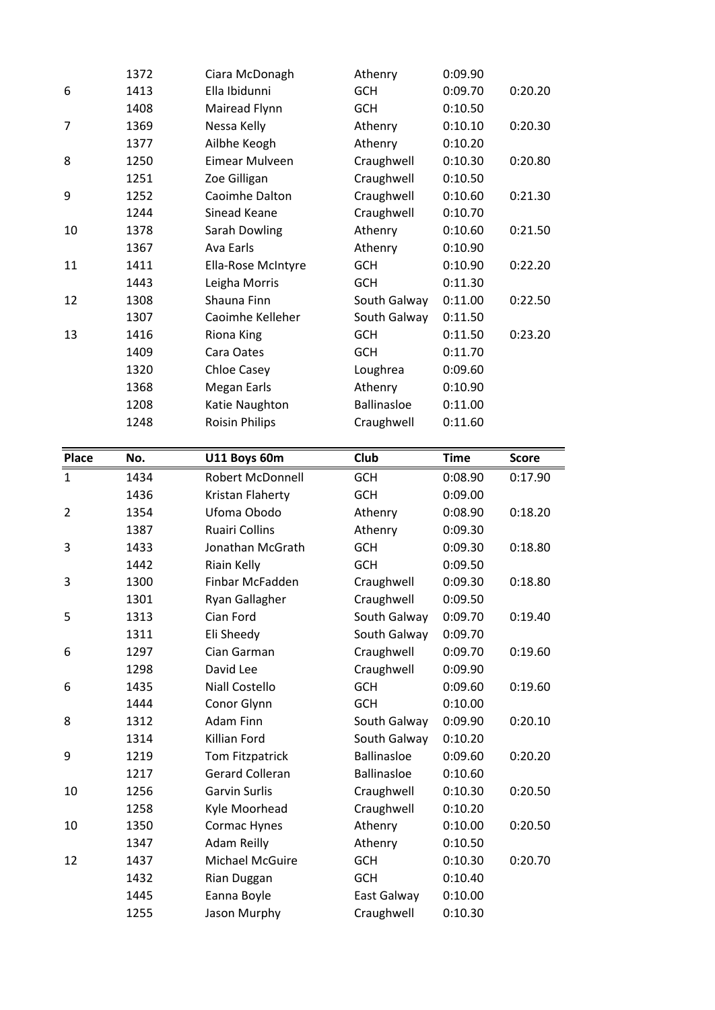|                | 1372         |                                       |                           |                    |              |
|----------------|--------------|---------------------------------------|---------------------------|--------------------|--------------|
|                |              | Ciara McDonagh<br>Ella Ibidunni       | Athenry<br><b>GCH</b>     | 0:09.90            |              |
| 6              | 1413         |                                       |                           | 0:09.70            | 0:20.20      |
|                | 1408         | Mairead Flynn                         | <b>GCH</b>                | 0:10.50            |              |
| 7              | 1369         | Nessa Kelly                           | Athenry                   | 0:10.10            | 0:20.30      |
|                | 1377         | Ailbhe Keogh                          | Athenry                   | 0:10.20            |              |
| 8              | 1250         | Eimear Mulveen                        | Craughwell                | 0:10.30            | 0:20.80      |
|                | 1251         | Zoe Gilligan                          | Craughwell                | 0:10.50            |              |
| 9              | 1252         | Caoimhe Dalton                        | Craughwell                | 0:10.60            | 0:21.30      |
|                | 1244         | Sinead Keane                          | Craughwell                | 0:10.70            |              |
| 10             | 1378         | Sarah Dowling                         | Athenry                   | 0:10.60            | 0:21.50      |
|                | 1367         | Ava Earls                             | Athenry                   | 0:10.90            |              |
| 11             | 1411         | Ella-Rose McIntyre                    | <b>GCH</b>                | 0:10.90            | 0:22.20      |
|                | 1443         | Leigha Morris                         | <b>GCH</b>                | 0:11.30            |              |
| 12             | 1308         | Shauna Finn                           | South Galway              | 0:11.00            | 0:22.50      |
|                | 1307         | Caoimhe Kelleher                      | South Galway              | 0:11.50            |              |
| 13             | 1416         | Riona King                            | <b>GCH</b>                | 0:11.50            | 0:23.20      |
|                | 1409         | Cara Oates                            | <b>GCH</b>                | 0:11.70            |              |
|                | 1320         | <b>Chloe Casey</b>                    | Loughrea                  | 0:09.60            |              |
|                | 1368         | Megan Earls                           | Athenry                   | 0:10.90            |              |
|                | 1208         | Katie Naughton                        | <b>Ballinasloe</b>        | 0:11.00            |              |
|                | 1248         | <b>Roisin Philips</b>                 | Craughwell                | 0:11.60            |              |
| <b>Place</b>   | No.          | U11 Boys 60m                          | Club                      | <b>Time</b>        | <b>Score</b> |
| $\mathbf{1}$   | 1434         | Robert McDonnell                      | <b>GCH</b>                | 0:08.90            | 0:17.90      |
|                | 1436         | Kristan Flaherty                      | <b>GCH</b>                | 0:09.00            |              |
|                |              |                                       |                           | 0:08.90            |              |
| $\overline{2}$ | 1354         | Ufoma Obodo                           | Athenry                   |                    | 0:18.20      |
|                | 1387         | <b>Ruairi Collins</b>                 | Athenry                   | 0:09.30            |              |
| 3              | 1433         | Jonathan McGrath                      | <b>GCH</b>                | 0:09.30            | 0:18.80      |
|                | 1442         | Riain Kelly                           | <b>GCH</b>                | 0:09.50            |              |
| 3              | 1300         | Finbar McFadden                       | Craughwell                | 0:09.30            | 0:18.80      |
|                | 1301         | Ryan Gallagher                        | Craughwell                | 0:09.50            |              |
| 5              | 1313         | Cian Ford                             | South Galway              | 0:09.70            | 0:19.40      |
|                | 1311         | Eli Sheedy                            | South Galway              | 0:09.70            |              |
| 6              | 1297         | Cian Garman                           | Craughwell                | 0:09.70            | 0:19.60      |
|                | 1298         | David Lee                             | Craughwell                | 0:09.90            |              |
| 6              | 1435         | <b>Niall Costello</b>                 | <b>GCH</b>                | 0:09.60            | 0:19.60      |
|                | 1444         | Conor Glynn                           | <b>GCH</b>                | 0:10.00            |              |
| 8              | 1312         | Adam Finn                             | South Galway              | 0:09.90            | 0:20.10      |
|                | 1314         | Killian Ford                          | South Galway              | 0:10.20            |              |
| 9              | 1219         | Tom Fitzpatrick                       | <b>Ballinasloe</b>        | 0:09.60            | 0:20.20      |
|                | 1217         | <b>Gerard Colleran</b>                | <b>Ballinasloe</b>        | 0:10.60            |              |
| 10             | 1256         | Garvin Surlis                         |                           | 0:10.30            | 0:20.50      |
|                | 1258         |                                       | Craughwell                | 0:10.20            |              |
|                |              | Kyle Moorhead                         | Craughwell                |                    |              |
| 10             | 1350<br>1347 | Cormac Hynes                          | Athenry                   | 0:10.00<br>0:10.50 | 0:20.50      |
| 12             |              | <b>Adam Reilly</b><br>Michael McGuire | Athenry<br><b>GCH</b>     |                    |              |
|                | 1437         |                                       |                           | 0:10.30            | 0:20.70      |
|                | 1432         | Rian Duggan                           | <b>GCH</b>                | 0:10.40            |              |
|                | 1445<br>1255 | Eanna Boyle<br>Jason Murphy           | East Galway<br>Craughwell | 0:10.00<br>0:10.30 |              |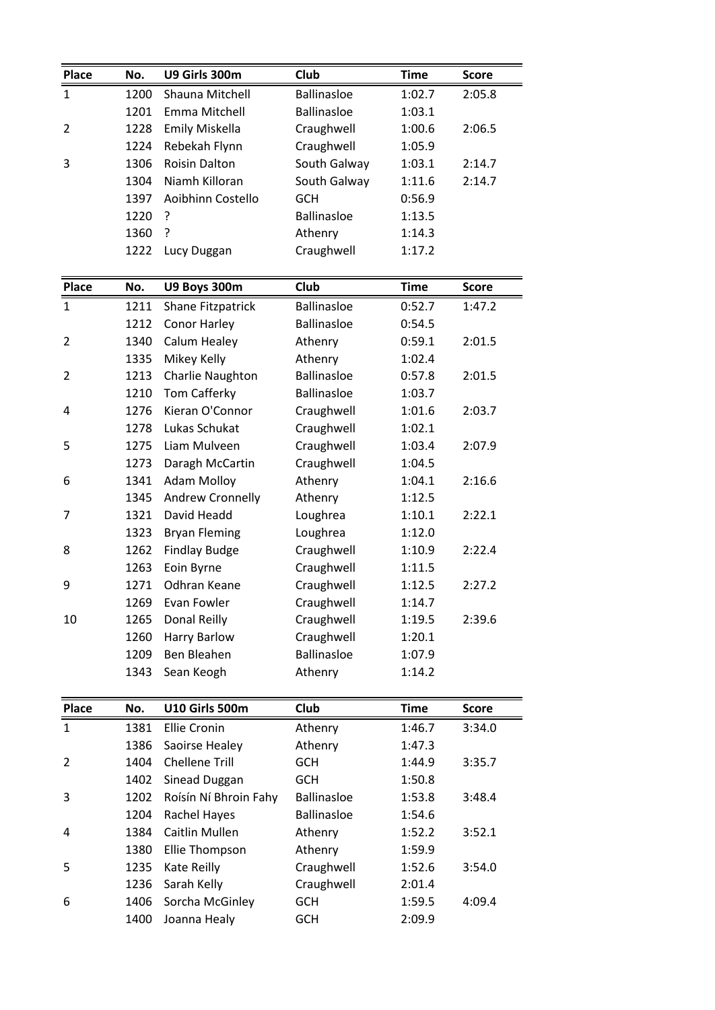| Place        | No.          | U9 Girls 300m                      | Club                             | <b>Time</b>      | <b>Score</b> |
|--------------|--------------|------------------------------------|----------------------------------|------------------|--------------|
| 1            | 1200         | Shauna Mitchell                    | <b>Ballinasloe</b>               | 1:02.7           | 2:05.8       |
|              | 1201         | Emma Mitchell                      | <b>Ballinasloe</b>               | 1:03.1           |              |
| 2            | 1228         | Emily Miskella                     | Craughwell                       | 1:00.6           | 2:06.5       |
|              | 1224         | Rebekah Flynn                      | Craughwell                       | 1:05.9           |              |
| 3            | 1306         | <b>Roisin Dalton</b>               | South Galway                     | 1:03.1           | 2:14.7       |
|              | 1304         | Niamh Killoran                     | South Galway                     | 1:11.6           | 2:14.7       |
|              | 1397         | Aoibhinn Costello                  | <b>GCH</b>                       | 0:56.9           |              |
|              | 1220         | ?                                  | <b>Ballinasloe</b>               | 1:13.5           |              |
|              | 1360         | ?                                  | Athenry                          | 1:14.3           |              |
|              | 1222         | Lucy Duggan                        | Craughwell                       | 1:17.2           |              |
|              |              |                                    |                                  |                  |              |
| <b>Place</b> | No.          | U9 Boys 300m                       | Club                             | <b>Time</b>      | <b>Score</b> |
| 1            | 1211         | <b>Shane Fitzpatrick</b>           | <b>Ballinasloe</b>               | 0:52.7           | 1:47.2       |
|              | 1212         | Conor Harley                       | <b>Ballinasloe</b>               | 0:54.5           |              |
| 2            | 1340         | Calum Healey                       | Athenry                          | 0:59.1           | 2:01.5       |
|              | 1335         | Mikey Kelly                        | Athenry                          | 1:02.4           |              |
| 2            | 1213         | Charlie Naughton                   | <b>Ballinasloe</b>               | 0:57.8           | 2:01.5       |
|              | 1210         | Tom Cafferky                       | <b>Ballinasloe</b>               | 1:03.7           |              |
| 4            | 1276         | Kieran O'Connor                    | Craughwell                       | 1:01.6           | 2:03.7       |
|              | 1278         | Lukas Schukat                      | Craughwell                       | 1:02.1           |              |
| 5            | 1275         | Liam Mulveen                       | Craughwell                       | 1:03.4           | 2:07.9       |
|              | 1273         | Daragh McCartin                    | Craughwell                       | 1:04.5           |              |
| 6            | 1341         | <b>Adam Molloy</b>                 | Athenry                          | 1:04.1           | 2:16.6       |
|              | 1345         | Andrew Cronnelly                   | Athenry                          | 1:12.5           |              |
| 7            | 1321         | David Headd                        | Loughrea                         | 1:10.1           | 2:22.1       |
|              | 1323         | <b>Bryan Fleming</b>               | Loughrea                         | 1:12.0           |              |
| 8            | 1262         | <b>Findlay Budge</b>               | Craughwell                       | 1:10.9           | 2:22.4       |
|              | 1263         | Eoin Byrne                         | Craughwell                       | 1:11.5           |              |
| 9            | 1271         | Odhran Keane                       | Craughwell                       | 1:12.5           | 2:27.2       |
|              | 1269         | Evan Fowler                        | Craughwell                       | 1:14.7           |              |
| 10           | 1265         | Donal Reilly                       | Craughwell                       | 1:19.5           | 2:39.6       |
|              |              |                                    |                                  |                  |              |
|              | 1260<br>1209 | <b>Harry Barlow</b><br>Ben Bleahen | Craughwell<br><b>Ballinasloe</b> | 1:20.1<br>1:07.9 |              |
|              | 1343         | Sean Keogh                         | Athenry                          | 1:14.2           |              |
|              |              |                                    |                                  |                  |              |
| Place        | No.          | <b>U10 Girls 500m</b>              | Club                             | <b>Time</b>      | <b>Score</b> |
| $\mathbf{1}$ | 1381         | <b>Ellie Cronin</b>                | Athenry                          | 1:46.7           | 3:34.0       |
|              | 1386         | Saoirse Healey                     | Athenry                          | 1:47.3           |              |
| 2            | 1404         | <b>Chellene Trill</b>              | <b>GCH</b>                       | 1:44.9           | 3:35.7       |
|              | 1402         | Sinead Duggan                      | <b>GCH</b>                       | 1:50.8           |              |
| 3            | 1202         | Roísín Ní Bhroin Fahy              | <b>Ballinasloe</b>               | 1:53.8           | 3:48.4       |
|              | 1204         | Rachel Hayes                       | <b>Ballinasloe</b>               | 1:54.6           |              |
| 4            | 1384         | Caitlin Mullen                     | Athenry                          | 1:52.2           | 3:52.1       |
|              | 1380         | Ellie Thompson                     | Athenry                          | 1:59.9           |              |
| 5            | 1235         | Kate Reilly                        | Craughwell                       | 1:52.6           | 3:54.0       |
|              | 1236         | Sarah Kelly                        |                                  | 2:01.4           |              |
|              |              | Sorcha McGinley                    | Craughwell<br><b>GCH</b>         |                  |              |
| 6            | 1406         |                                    |                                  | 1:59.5           | 4:09.4       |
|              | 1400         | Joanna Healy                       | <b>GCH</b>                       | 2:09.9           |              |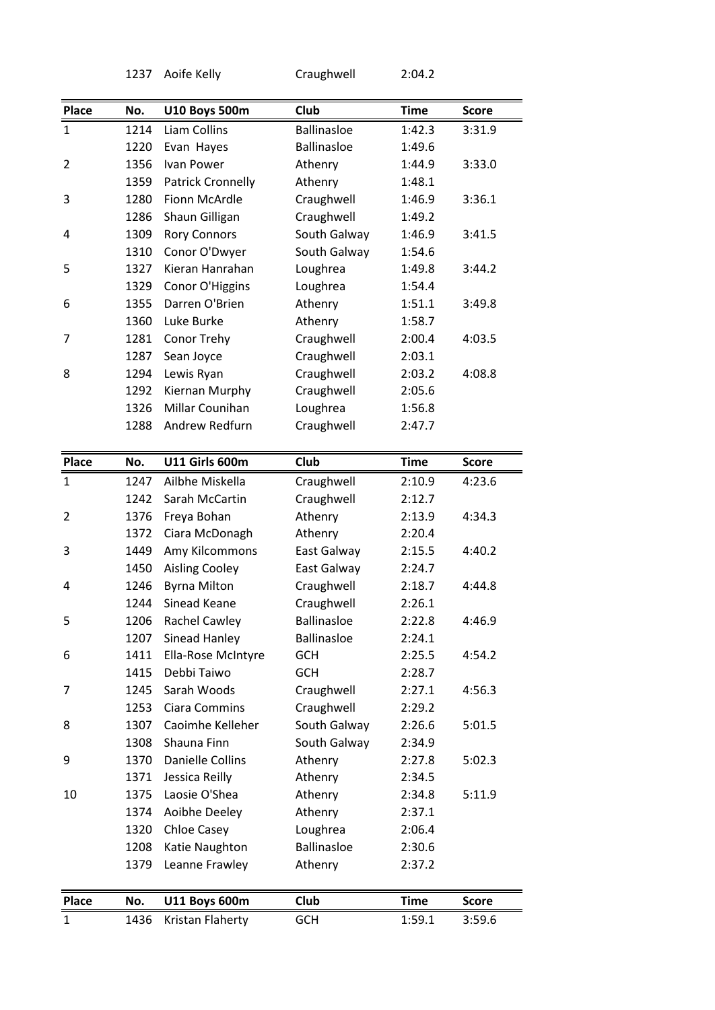|                                             | 1237 | Aoife Kelly                              | Craughwell                | 2:04.2                |              |
|---------------------------------------------|------|------------------------------------------|---------------------------|-----------------------|--------------|
|                                             |      |                                          |                           |                       |              |
| Place                                       | No.  | <b>U10 Boys 500m</b>                     | Club                      | <b>Time</b>           | <b>Score</b> |
| $\mathbf{1}$                                | 1214 | Liam Collins                             | <b>Ballinasloe</b>        | 1:42.3                | 3:31.9       |
|                                             | 1220 | Evan Hayes                               | <b>Ballinasloe</b>        | 1:49.6                |              |
| 2                                           | 1356 | Ivan Power                               | Athenry                   | 1:44.9                | 3:33.0       |
|                                             | 1359 | <b>Patrick Cronnelly</b>                 | Athenry                   | 1:48.1                |              |
| 3                                           | 1280 | Fionn McArdle                            | Craughwell                | 1:46.9                | 3:36.1       |
|                                             | 1286 | Shaun Gilligan                           | Craughwell                | 1:49.2                |              |
| 4                                           | 1309 | <b>Rory Connors</b>                      | South Galway              | 1:46.9                | 3:41.5       |
|                                             | 1310 | Conor O'Dwyer                            | South Galway              | 1:54.6                |              |
| 5                                           | 1327 | Kieran Hanrahan                          | Loughrea                  | 1:49.8                | 3:44.2       |
|                                             | 1329 | Conor O'Higgins                          | Loughrea                  | 1:54.4                |              |
| 6                                           | 1355 | Darren O'Brien                           | Athenry                   | 1:51.1                | 3:49.8       |
|                                             | 1360 | Luke Burke                               | Athenry                   | 1:58.7                |              |
| 7                                           | 1281 | Conor Trehy                              | Craughwell                | 2:00.4                | 4:03.5       |
|                                             | 1287 | Sean Joyce                               | Craughwell                | 2:03.1                |              |
| 8                                           | 1294 | Lewis Ryan                               | Craughwell                | 2:03.2                | 4:08.8       |
|                                             | 1292 | Kiernan Murphy                           | Craughwell                | 2:05.6                |              |
|                                             | 1326 | Millar Counihan                          | Loughrea                  | 1:56.8                |              |
|                                             | 1288 | Andrew Redfurn                           | Craughwell                | 2:47.7                |              |
|                                             |      |                                          |                           |                       |              |
| Place                                       | No.  | <b>U11 Girls 600m</b>                    | <b>Club</b>               | <b>Time</b>           | <b>Score</b> |
| 1                                           | 1247 | Ailbhe Miskella                          | Craughwell                | 2:10.9                | 4:23.6       |
|                                             | 1242 | Sarah McCartin                           | Craughwell                | 2:12.7                |              |
| 2                                           | 1376 | Freya Bohan                              | Athenry                   | 2:13.9                | 4:34.3       |
|                                             | 1372 | Ciara McDonagh                           | Athenry                   | 2:20.4                |              |
| 3                                           | 1449 | Amy Kilcommons                           | East Galway               | 2:15.5                | 4:40.2       |
|                                             | 1450 | <b>Aisling Cooley</b>                    | East Galway               | 2:24.7                |              |
| 4                                           | 1246 | <b>Byrna Milton</b>                      | Craughwell                | 2:18.7                | 4:44.8       |
|                                             | 1244 | Sinead Keane                             | Craughwell                | 2:26.1                |              |
|                                             | 1206 | <b>Rachel Cawley</b>                     | <b>Ballinasloe</b>        | 2:22.8                | 4:46.9       |
|                                             |      |                                          |                           |                       |              |
|                                             |      |                                          |                           |                       |              |
|                                             | 1207 | Sinead Hanley                            | <b>Ballinasloe</b>        | 2:24.1                |              |
|                                             | 1411 | Ella-Rose McIntyre                       | <b>GCH</b>                | 2:25.5                | 4:54.2       |
|                                             | 1415 | Debbi Taiwo                              | <b>GCH</b>                | 2:28.7                |              |
|                                             | 1245 | Sarah Woods                              | Craughwell                | 2:27.1                | 4:56.3       |
|                                             | 1253 | Ciara Commins                            | Craughwell                | 2:29.2                |              |
|                                             | 1307 | Caoimhe Kelleher                         | South Galway              | 2:26.6                | 5:01.5       |
|                                             | 1308 | Shauna Finn                              | South Galway              | 2:34.9                |              |
|                                             | 1370 | <b>Danielle Collins</b>                  | Athenry                   | 2:27.8                | 5:02.3       |
|                                             | 1371 | Jessica Reilly                           | Athenry                   | 2:34.5                |              |
|                                             | 1375 | Laosie O'Shea                            | Athenry                   | 2:34.8                | 5:11.9       |
|                                             | 1374 | Aoibhe Deeley                            | Athenry                   | 2:37.1                |              |
|                                             | 1320 | Chloe Casey                              | Loughrea                  | 2:06.4                |              |
|                                             | 1208 | Katie Naughton                           | <b>Ballinasloe</b>        | 2:30.6                |              |
|                                             | 1379 | Leanne Frawley                           | Athenry                   | 2:37.2                |              |
|                                             |      |                                          |                           |                       |              |
| 5<br>6<br>7<br>8<br>9<br>10<br><b>Place</b> | No.  | <b>U11 Boys 600m</b><br>Kristan Flaherty | <b>Club</b><br><b>GCH</b> | <b>Time</b><br>1:59.1 | <b>Score</b> |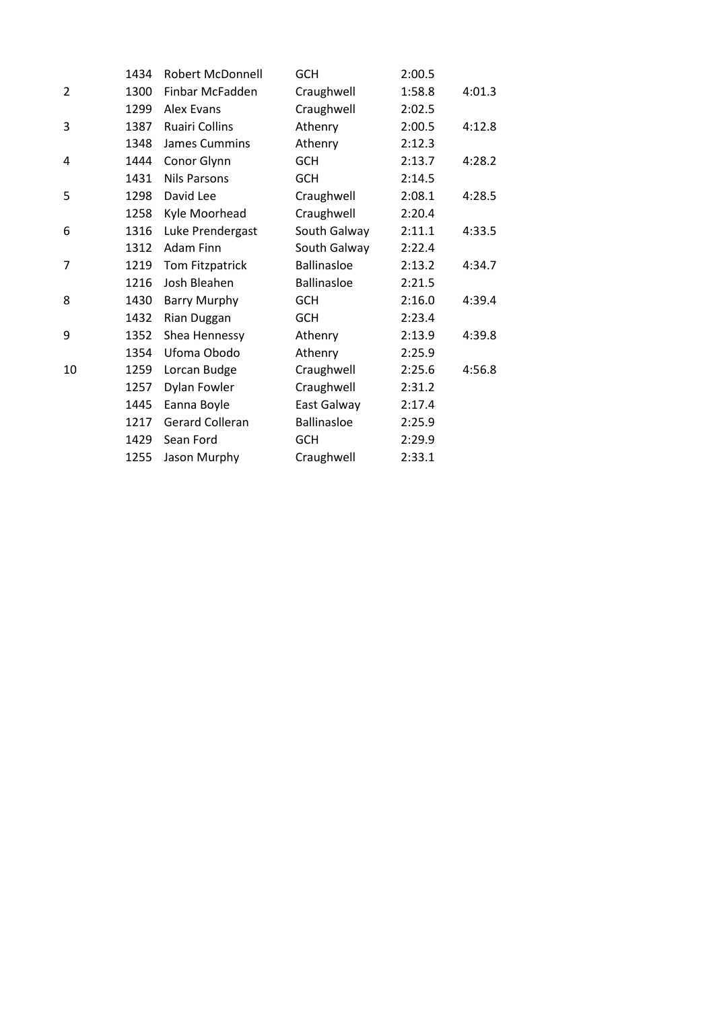|                | 1434 | <b>Robert McDonnell</b> | <b>GCH</b>         | 2:00.5 |        |
|----------------|------|-------------------------|--------------------|--------|--------|
| $\overline{2}$ | 1300 | Finbar McFadden         | Craughwell         | 1:58.8 | 4:01.3 |
|                | 1299 | <b>Alex Evans</b>       | Craughwell         | 2:02.5 |        |
| 3              | 1387 | <b>Ruairi Collins</b>   | Athenry            | 2:00.5 | 4:12.8 |
|                | 1348 | <b>James Cummins</b>    | Athenry            | 2:12.3 |        |
| 4              | 1444 | Conor Glynn             | <b>GCH</b>         | 2:13.7 | 4:28.2 |
|                | 1431 | <b>Nils Parsons</b>     | <b>GCH</b>         | 2:14.5 |        |
| 5              | 1298 | David Lee               | Craughwell         | 2:08.1 | 4:28.5 |
|                | 1258 | Kyle Moorhead           | Craughwell         | 2:20.4 |        |
| 6              | 1316 | Luke Prendergast        | South Galway       | 2:11.1 | 4:33.5 |
|                | 1312 | <b>Adam Finn</b>        | South Galway       | 2:22.4 |        |
| $\overline{7}$ | 1219 | Tom Fitzpatrick         | <b>Ballinasloe</b> | 2:13.2 | 4:34.7 |
|                | 1216 | Josh Bleahen            | <b>Ballinasloe</b> | 2:21.5 |        |
| 8              | 1430 | <b>Barry Murphy</b>     | <b>GCH</b>         | 2:16.0 | 4:39.4 |
|                | 1432 | Rian Duggan             | <b>GCH</b>         | 2:23.4 |        |
| 9              | 1352 | Shea Hennessy           | Athenry            | 2:13.9 | 4:39.8 |
|                | 1354 | Ufoma Obodo             | Athenry            | 2:25.9 |        |
| 10             | 1259 | Lorcan Budge            | Craughwell         | 2:25.6 | 4:56.8 |
|                | 1257 | <b>Dylan Fowler</b>     | Craughwell         | 2:31.2 |        |
|                | 1445 | Eanna Boyle             | East Galway        | 2:17.4 |        |
|                | 1217 | <b>Gerard Colleran</b>  | <b>Ballinasloe</b> | 2:25.9 |        |
|                | 1429 | Sean Ford               | <b>GCH</b>         | 2:29.9 |        |
|                | 1255 | Jason Murphy            | Craughwell         | 2:33.1 |        |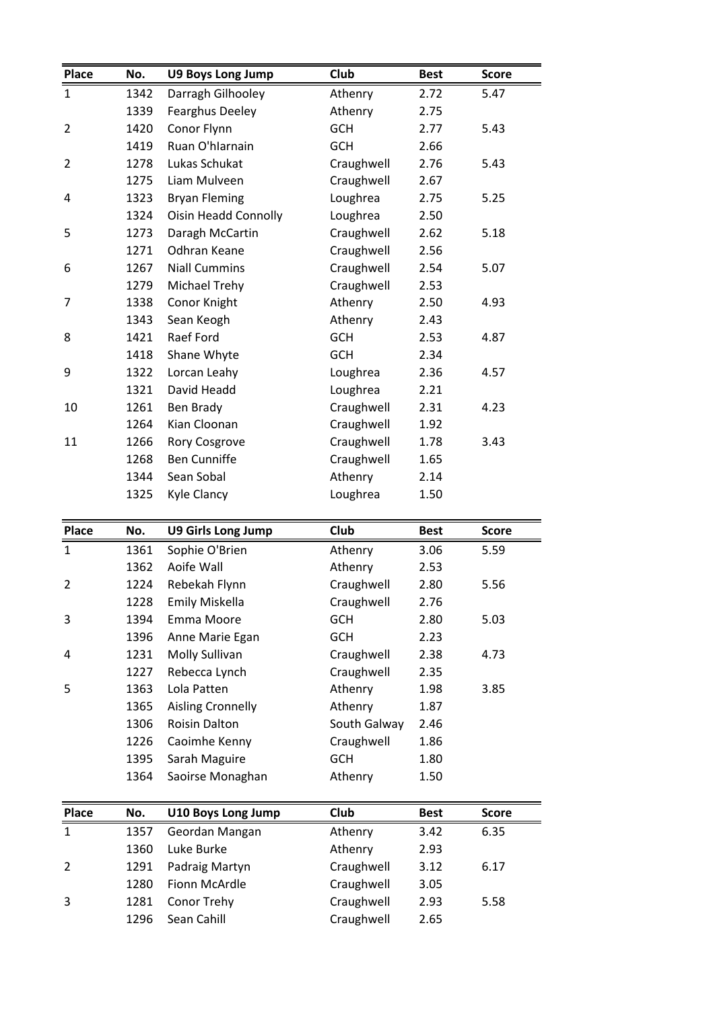| Place        | No.  |                                | <b>Club</b>           | <b>Best</b> |              |
|--------------|------|--------------------------------|-----------------------|-------------|--------------|
|              |      | <b>U9 Boys Long Jump</b>       |                       |             | <b>Score</b> |
| $\mathbf{1}$ | 1342 | Darragh Gilhooley              | Athenry               | 2.72        | 5.47         |
|              | 1339 | <b>Fearghus Deeley</b>         | Athenry<br><b>GCH</b> | 2.75        | 5.43         |
| 2            | 1420 | Conor Flynn<br>Ruan O'hlarnain |                       | 2.77        |              |
|              | 1419 |                                | <b>GCH</b>            | 2.66        |              |
| 2            | 1278 | Lukas Schukat                  | Craughwell            | 2.76        | 5.43         |
|              | 1275 | Liam Mulveen                   | Craughwell            | 2.67        |              |
| 4            | 1323 | <b>Bryan Fleming</b>           | Loughrea              | 2.75        | 5.25         |
|              | 1324 | <b>Oisin Headd Connolly</b>    | Loughrea              | 2.50        |              |
| 5            | 1273 | Daragh McCartin                | Craughwell            | 2.62        | 5.18         |
|              | 1271 | Odhran Keane                   | Craughwell            | 2.56        |              |
| 6            | 1267 | <b>Niall Cummins</b>           | Craughwell            | 2.54        | 5.07         |
|              | 1279 | <b>Michael Trehy</b>           | Craughwell            | 2.53        |              |
| 7            | 1338 | Conor Knight                   | Athenry               | 2.50        | 4.93         |
|              | 1343 | Sean Keogh                     | Athenry               | 2.43        |              |
| 8            | 1421 | Raef Ford                      | <b>GCH</b>            | 2.53        | 4.87         |
|              | 1418 | Shane Whyte                    | <b>GCH</b>            | 2.34        |              |
| 9            | 1322 | Lorcan Leahy                   | Loughrea              | 2.36        | 4.57         |
|              | 1321 | David Headd                    | Loughrea              | 2.21        |              |
| 10           | 1261 | Ben Brady                      | Craughwell            | 2.31        | 4.23         |
|              | 1264 | Kian Cloonan                   | Craughwell            | 1.92        |              |
| 11           | 1266 | Rory Cosgrove                  | Craughwell            | 1.78        | 3.43         |
|              | 1268 | <b>Ben Cunniffe</b>            | Craughwell            | 1.65        |              |
|              | 1344 | Sean Sobal                     | Athenry               | 2.14        |              |
|              | 1325 | Kyle Clancy                    | Loughrea              | 1.50        |              |
| Place        | No.  | <b>U9 Girls Long Jump</b>      | Club                  | <b>Best</b> | <b>Score</b> |
| 1            | 1361 | Sophie O'Brien                 |                       | 3.06        | 5.59         |
|              | 1362 | Aoife Wall                     | Athenry<br>Athenry    | 2.53        |              |
| 2            | 1224 | Rebekah Flynn                  | Craughwell            | 2.80        | 5.56         |
|              | 1228 | Emily Miskella                 | Craughwell            | 2.76        |              |
| 3            | 1394 | Emma Moore                     | <b>GCH</b>            | 2.80        | 5.03         |
|              |      |                                |                       |             |              |
|              | 1396 | Anne Marie Egan                | <b>GCH</b>            | 2.23        |              |
| 4            | 1231 | Molly Sullivan                 | Craughwell            | 2.38        | 4.73         |
|              | 1227 | Rebecca Lynch                  | Craughwell            | 2.35        |              |
| 5            | 1363 | Lola Patten                    | Athenry               | 1.98        | 3.85         |
|              | 1365 | <b>Aisling Cronnelly</b>       | Athenry               | 1.87        |              |
|              | 1306 | Roisin Dalton                  | South Galway          | 2.46        |              |
|              | 1226 | Caoimhe Kenny                  | Craughwell            | 1.86        |              |
|              | 1395 | Sarah Maguire                  | <b>GCH</b>            | 1.80        |              |

| 1227 | Rebecca Lynch             | Craughwell   | 2.35        |              |
|------|---------------------------|--------------|-------------|--------------|
| 1363 | Lola Patten               | Athenry      | 1.98        | 3.85         |
| 1365 | <b>Aisling Cronnelly</b>  | Athenry      | 1.87        |              |
| 1306 | <b>Roisin Dalton</b>      | South Galway | 2.46        |              |
| 1226 | Caoimhe Kenny             | Craughwell   | 1.86        |              |
| 1395 | Sarah Maguire             | GCH          | 1.80        |              |
| 1364 | Saoirse Monaghan          | Athenry      | 1.50        |              |
|      |                           |              |             |              |
| No.  | <b>U10 Boys Long Jump</b> | Club         | <b>Best</b> | <b>Score</b> |
| 1357 | Geordan Mangan            | Athenry      | 3.42        | 6.35         |
| 1360 | Luke Burke                | Athenry      | 2.93        |              |
| 1291 | Padraig Martyn            | Craughwell   | 3.12        | 6.17         |

|              | 1304 | <b>S</b> Saultse Monaghan | Attienty   | <b>J.JU</b> |              |
|--------------|------|---------------------------|------------|-------------|--------------|
| <b>Place</b> | No.  | <b>U10 Boys Long Jump</b> | Club       | <b>Best</b> | <b>Score</b> |
| 1            | 1357 | Geordan Mangan            | Athenry    | 3.42        | 6.35         |
|              | 1360 | Luke Burke                | Athenry    | 2.93        |              |
|              | 1291 | Padraig Martyn            | Craughwell | 3.12        | 6.17         |
|              | 1280 | Fionn McArdle             | Craughwell | 3.05        |              |
| 3            | 1281 | Conor Trehy               | Craughwell | 2.93        | 5.58         |
|              | 1296 | Sean Cahill               | Craughwell | 2.65        |              |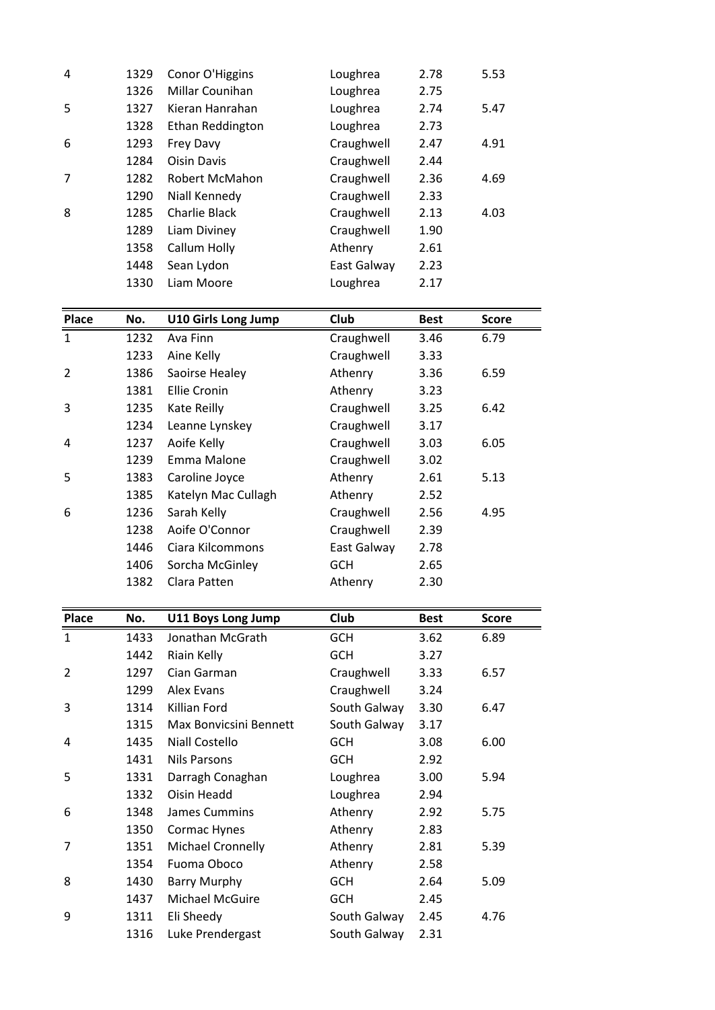| 5<br>Kieran Hanrahan<br>Loughrea<br>1327<br>2.74<br>5.47<br>1328<br>Ethan Reddington<br>Loughrea<br>2.73<br>Craughwell<br>6<br>1293<br>Frey Davy<br>2.47<br>4.91<br><b>Oisin Davis</b><br>Craughwell<br>1284<br>2.44<br>7<br>1282<br>Robert McMahon<br>Craughwell<br>2.36<br>4.69<br>Craughwell<br>1290<br>Niall Kennedy<br>2.33<br>Craughwell<br>8<br><b>Charlie Black</b><br>1285<br>2.13<br>4.03<br>Liam Diviney<br>Craughwell<br>1289<br>1.90<br>Callum Holly<br>1358<br>Athenry<br>2.61<br>Sean Lydon<br>East Galway<br>1448<br>2.23<br>1330<br>Liam Moore<br>Loughrea<br>2.17<br>Club<br><b>Place</b><br><b>U10 Girls Long Jump</b><br>No.<br><b>Best</b><br><b>Score</b> |
|---------------------------------------------------------------------------------------------------------------------------------------------------------------------------------------------------------------------------------------------------------------------------------------------------------------------------------------------------------------------------------------------------------------------------------------------------------------------------------------------------------------------------------------------------------------------------------------------------------------------------------------------------------------------------------|
|                                                                                                                                                                                                                                                                                                                                                                                                                                                                                                                                                                                                                                                                                 |
|                                                                                                                                                                                                                                                                                                                                                                                                                                                                                                                                                                                                                                                                                 |
|                                                                                                                                                                                                                                                                                                                                                                                                                                                                                                                                                                                                                                                                                 |
|                                                                                                                                                                                                                                                                                                                                                                                                                                                                                                                                                                                                                                                                                 |
|                                                                                                                                                                                                                                                                                                                                                                                                                                                                                                                                                                                                                                                                                 |
|                                                                                                                                                                                                                                                                                                                                                                                                                                                                                                                                                                                                                                                                                 |
|                                                                                                                                                                                                                                                                                                                                                                                                                                                                                                                                                                                                                                                                                 |
|                                                                                                                                                                                                                                                                                                                                                                                                                                                                                                                                                                                                                                                                                 |
|                                                                                                                                                                                                                                                                                                                                                                                                                                                                                                                                                                                                                                                                                 |
|                                                                                                                                                                                                                                                                                                                                                                                                                                                                                                                                                                                                                                                                                 |
|                                                                                                                                                                                                                                                                                                                                                                                                                                                                                                                                                                                                                                                                                 |
|                                                                                                                                                                                                                                                                                                                                                                                                                                                                                                                                                                                                                                                                                 |
|                                                                                                                                                                                                                                                                                                                                                                                                                                                                                                                                                                                                                                                                                 |
| Millar Counihan<br>1326<br>Loughrea<br>2.75                                                                                                                                                                                                                                                                                                                                                                                                                                                                                                                                                                                                                                     |
| 4<br>1329<br>Conor O'Higgins<br>Loughrea<br>2.78<br>5.53                                                                                                                                                                                                                                                                                                                                                                                                                                                                                                                                                                                                                        |

|                | 1338 | Caliulii Holly      | Attienty    | 2.OT        |              |
|----------------|------|---------------------|-------------|-------------|--------------|
|                | 1448 | Sean Lydon          | East Galway | 2.23        |              |
|                | 1330 | Liam Moore          | Loughrea    | 2.17        |              |
|                |      |                     |             |             |              |
| <b>Place</b>   | No.  | U10 Girls Long Jump | Club        | <b>Best</b> | <b>Score</b> |
| $\mathbf{1}$   | 1232 | Ava Finn            | Craughwell  | 3.46        | 6.79         |
|                | 1233 | Aine Kelly          | Craughwell  | 3.33        |              |
| $\overline{2}$ | 1386 | Saoirse Healey      | Athenry     | 3.36        | 6.59         |
|                | 1381 | <b>Ellie Cronin</b> | Athenry     | 3.23        |              |
| 3              | 1235 | Kate Reilly         | Craughwell  | 3.25        | 6.42         |
|                | 1234 | Leanne Lynskey      | Craughwell  | 3.17        |              |
| 4              | 1237 | Aoife Kelly         | Craughwell  | 3.03        | 6.05         |
|                | 1239 | Emma Malone         | Craughwell  | 3.02        |              |
| 5              | 1383 | Caroline Joyce      | Athenry     | 2.61        | 5.13         |
|                | 1385 | Katelyn Mac Cullagh | Athenry     | 2.52        |              |
| 6              | 1236 | Sarah Kelly         | Craughwell  | 2.56        | 4.95         |
|                | 1238 | Aoife O'Connor      | Craughwell  | 2.39        |              |
|                | 1446 | Ciara Kilcommons    | East Galway | 2.78        |              |
|                | 1406 | Sorcha McGinley     | <b>GCH</b>  | 2.65        |              |
|                | 1382 | Clara Patten        | Athenry     | 2.30        |              |
|                |      |                     |             |             |              |
| <b>Place</b>   | No.  | U11 Boys Long Jump  | Club        | <b>Best</b> | <b>Score</b> |
| 1              | 1433 | Jonathan McGrath    | <b>GCH</b>  | 3.62        | 6.89         |
|                | 1442 | Riain Kelly         | <b>GCH</b>  | 3.27        |              |

|                | 14UD | Sorcha McGiniey        | uun          | 2.05        |              |
|----------------|------|------------------------|--------------|-------------|--------------|
|                | 1382 | Clara Patten           | Athenry      | 2.30        |              |
|                |      |                        |              |             |              |
| <b>Place</b>   | No.  | U11 Boys Long Jump     | Club         | <b>Best</b> | <b>Score</b> |
| $\mathbf{1}$   | 1433 | Jonathan McGrath       | <b>GCH</b>   | 3.62        | 6.89         |
|                | 1442 | Riain Kelly            | <b>GCH</b>   | 3.27        |              |
| $\overline{2}$ | 1297 | Cian Garman            | Craughwell   | 3.33        | 6.57         |
|                | 1299 | Alex Evans             | Craughwell   | 3.24        |              |
| 3              | 1314 | Killian Ford           | South Galway | 3.30        | 6.47         |
|                | 1315 | Max Bonvicsini Bennett | South Galway | 3.17        |              |
| 4              | 1435 | <b>Niall Costello</b>  | <b>GCH</b>   | 3.08        | 6.00         |
|                | 1431 | <b>Nils Parsons</b>    | <b>GCH</b>   | 2.92        |              |
| 5              | 1331 | Darragh Conaghan       | Loughrea     | 3.00        | 5.94         |
|                | 1332 | Oisin Headd            | Loughrea     | 2.94        |              |
| 6              | 1348 | James Cummins          | Athenry      | 2.92        | 5.75         |
|                | 1350 | Cormac Hynes           | Athenry      | 2.83        |              |
| 7              | 1351 | Michael Cronnelly      | Athenry      | 2.81        | 5.39         |
|                | 1354 | Fuoma Oboco            | Athenry      | 2.58        |              |
| 8              | 1430 | <b>Barry Murphy</b>    | <b>GCH</b>   | 2.64        | 5.09         |
|                | 1437 | Michael McGuire        | <b>GCH</b>   | 2.45        |              |
| 9              | 1311 | Eli Sheedy             | South Galway | 2.45        | 4.76         |
|                | 1316 | Luke Prendergast       | South Galway | 2.31        |              |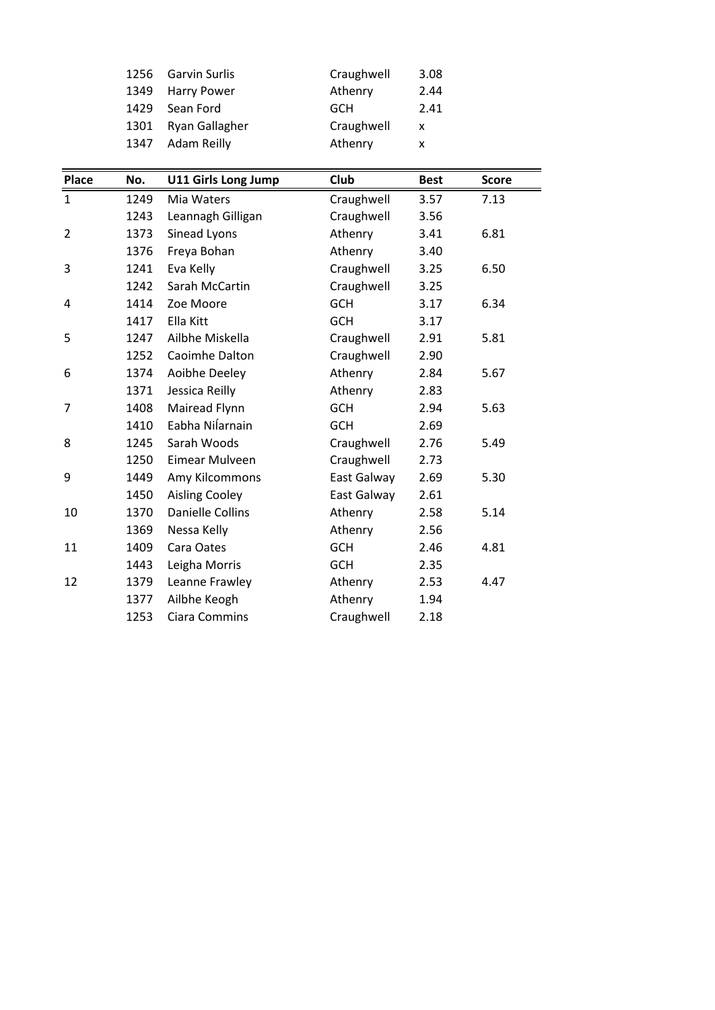| <b>Garvin Surlis</b><br>Craughwell<br>1256<br>3.08<br>Athenry<br>1349<br><b>Harry Power</b><br>2.44<br>1429<br>Sean Ford<br>2.41<br><b>GCH</b><br>Craughwell<br>Ryan Gallagher<br>1301<br>X<br>Adam Reilly<br>Athenry<br>1347<br>X<br><b>Club</b><br>No.<br><b>U11 Girls Long Jump</b><br><b>Best</b><br><b>Score</b> | Place |  |  |  |
|-----------------------------------------------------------------------------------------------------------------------------------------------------------------------------------------------------------------------------------------------------------------------------------------------------------------------|-------|--|--|--|
|                                                                                                                                                                                                                                                                                                                       |       |  |  |  |
|                                                                                                                                                                                                                                                                                                                       |       |  |  |  |
|                                                                                                                                                                                                                                                                                                                       |       |  |  |  |
|                                                                                                                                                                                                                                                                                                                       |       |  |  |  |
|                                                                                                                                                                                                                                                                                                                       |       |  |  |  |
|                                                                                                                                                                                                                                                                                                                       |       |  |  |  |
|                                                                                                                                                                                                                                                                                                                       |       |  |  |  |
|                                                                                                                                                                                                                                                                                                                       |       |  |  |  |

|                | 1429 | Sean Ford                  | ษ∪⊓         | 2.4 L       |              |
|----------------|------|----------------------------|-------------|-------------|--------------|
|                | 1301 | Ryan Gallagher             | Craughwell  | X           |              |
|                | 1347 | <b>Adam Reilly</b>         | Athenry     | X           |              |
|                |      |                            |             |             |              |
| Place          | No.  | <b>U11 Girls Long Jump</b> | Club        | <b>Best</b> | <b>Score</b> |
| $\mathbf{1}$   | 1249 | Mia Waters                 | Craughwell  | 3.57        | 7.13         |
|                | 1243 | Leannagh Gilligan          | Craughwell  | 3.56        |              |
| $\overline{2}$ | 1373 | Sinead Lyons               | Athenry     | 3.41        | 6.81         |
|                | 1376 | Freya Bohan                | Athenry     | 3.40        |              |
| 3              | 1241 | Eva Kelly                  | Craughwell  | 3.25        | 6.50         |
|                | 1242 | Sarah McCartin             | Craughwell  | 3.25        |              |
| 4              | 1414 | Zoe Moore                  | <b>GCH</b>  | 3.17        | 6.34         |
|                | 1417 | Ella Kitt                  | <b>GCH</b>  | 3.17        |              |
| 5              | 1247 | Ailbhe Miskella            | Craughwell  | 2.91        | 5.81         |
|                | 1252 | Caoimhe Dalton             | Craughwell  | 2.90        |              |
| 6              | 1374 | Aoibhe Deeley              | Athenry     | 2.84        | 5.67         |
|                | 1371 | Jessica Reilly             | Athenry     | 2.83        |              |
| 7              | 1408 | Mairead Flynn              | <b>GCH</b>  | 2.94        | 5.63         |
|                | 1410 | Eabha Nilarnain            | <b>GCH</b>  | 2.69        |              |
| 8              | 1245 | Sarah Woods                | Craughwell  | 2.76        | 5.49         |
|                | 1250 | Eimear Mulveen             | Craughwell  | 2.73        |              |
| 9              | 1449 | Amy Kilcommons             | East Galway | 2.69        | 5.30         |
|                | 1450 | <b>Aisling Cooley</b>      | East Galway | 2.61        |              |
| 10             | 1370 | <b>Danielle Collins</b>    | Athenry     | 2.58        | 5.14         |
|                | 1369 | Nessa Kelly                | Athenry     | 2.56        |              |
| 11             | 1409 | Cara Oates                 | <b>GCH</b>  | 2.46        | 4.81         |
|                | 1443 | Leigha Morris              | <b>GCH</b>  | 2.35        |              |
| 12             | 1379 | Leanne Frawley             | Athenry     | 2.53        | 4.47         |
|                | 1377 | Ailbhe Keogh               | Athenry     | 1.94        |              |
|                | 1253 | Ciara Commins              | Craughwell  | 2.18        |              |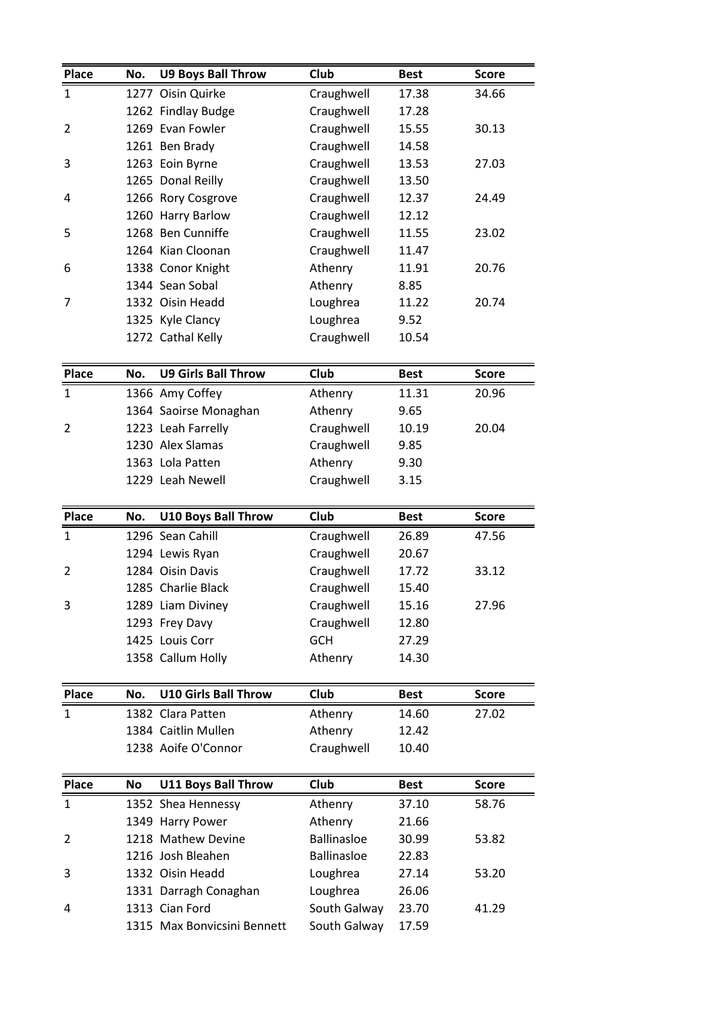| Place          | No. | <b>U9 Boys Ball Throw</b>                     | <b>Club</b>                  | <b>Best</b>    | <b>Score</b> |
|----------------|-----|-----------------------------------------------|------------------------------|----------------|--------------|
| 1              |     | 1277 Oisin Quirke                             | Craughwell                   | 17.38          | 34.66        |
|                |     | 1262 Findlay Budge                            | Craughwell                   | 17.28          |              |
| 2              |     | 1269 Evan Fowler                              | Craughwell                   | 15.55          | 30.13        |
|                |     | 1261 Ben Brady                                | Craughwell                   | 14.58          |              |
| 3              |     | 1263 Eoin Byrne                               | Craughwell                   | 13.53          | 27.03        |
|                |     | 1265 Donal Reilly                             | Craughwell                   | 13.50          |              |
| 4              |     | 1266 Rory Cosgrove                            | Craughwell                   | 12.37          | 24.49        |
|                |     | 1260 Harry Barlow                             | Craughwell                   | 12.12          |              |
| 5              |     | 1268 Ben Cunniffe                             | Craughwell                   | 11.55          | 23.02        |
|                |     | 1264 Kian Cloonan                             | Craughwell                   | 11.47          |              |
| 6              |     | 1338 Conor Knight                             | Athenry                      | 11.91          | 20.76        |
|                |     | 1344 Sean Sobal                               | Athenry                      | 8.85           |              |
| 7              |     | 1332 Oisin Headd                              | Loughrea                     | 11.22          | 20.74        |
|                |     | 1325 Kyle Clancy                              | Loughrea                     | 9.52           |              |
|                |     | 1272 Cathal Kelly                             | Craughwell                   | 10.54          |              |
| Place          | No. | <b>U9 Girls Ball Throw</b>                    | Club                         | <b>Best</b>    | <b>Score</b> |
| 1              |     | 1366 Amy Coffey                               | Athenry                      | 11.31          | 20.96        |
|                |     | 1364 Saoirse Monaghan                         | Athenry                      | 9.65           |              |
| 2              |     | 1223 Leah Farrelly                            | Craughwell                   | 10.19          | 20.04        |
|                |     | 1230 Alex Slamas                              | Craughwell                   | 9.85           |              |
|                |     | 1363 Lola Patten                              | Athenry                      | 9.30           |              |
|                |     | 1229 Leah Newell                              | Craughwell                   | 3.15           |              |
| Place          | No. | <b>U10 Boys Ball Throw</b>                    | Club                         | <b>Best</b>    | <b>Score</b> |
| $\mathbf{1}$   |     | 1296 Sean Cahill                              | Craughwell                   | 26.89          | 47.56        |
|                |     | 1294 Lewis Ryan                               | Craughwell                   | 20.67          |              |
| $\overline{2}$ |     | 1284 Oisin Davis                              | Craughwell                   | 17.72          | 33.12        |
|                |     | 1285 Charlie Black                            | Craughwell                   | 15.40          |              |
| 3              |     | 1289 Liam Diviney                             | Craughwell                   | 15.16          | 27.96        |
|                |     | 1293 Frey Davy                                | Craughwell                   | 12.80          |              |
|                |     | 1425 Louis Corr                               | <b>GCH</b>                   | 27.29          |              |
|                |     | 1358 Callum Holly                             | Athenry                      | 14.30          |              |
| Place          | No. | <b>U10 Girls Ball Throw</b>                   | Club                         | <b>Best</b>    | <b>Score</b> |
| $\mathbf{1}$   |     | 1382 Clara Patten                             | Athenry                      | 14.60          | 27.02        |
|                |     | 1384 Caitlin Mullen                           | Athenry                      | 12.42          |              |
|                |     | 1238 Aoife O'Connor                           | Craughwell                   | 10.40          |              |
|                |     |                                               |                              |                |              |
| <b>Place</b>   | No  | <b>U11 Boys Ball Throw</b>                    | Club                         | <b>Best</b>    | <b>Score</b> |
| 1              |     | 1352 Shea Hennessy                            | Athenry                      | 37.10          | 58.76        |
|                |     | 1349 Harry Power                              | Athenry                      | 21.66          |              |
| 2              |     | 1218 Mathew Devine                            | <b>Ballinasloe</b>           | 30.99          | 53.82        |
|                |     | 1216 Josh Bleahen                             | <b>Ballinasloe</b>           | 22.83          |              |
| 3              |     | 1332 Oisin Headd                              | Loughrea                     | 27.14          | 53.20        |
|                |     | 1331 Darragh Conaghan                         | Loughrea                     | 26.06          |              |
|                |     |                                               |                              |                |              |
| 4              |     | 1313 Cian Ford<br>1315 Max Bonvicsini Bennett | South Galway<br>South Galway | 23.70<br>17.59 | 41.29        |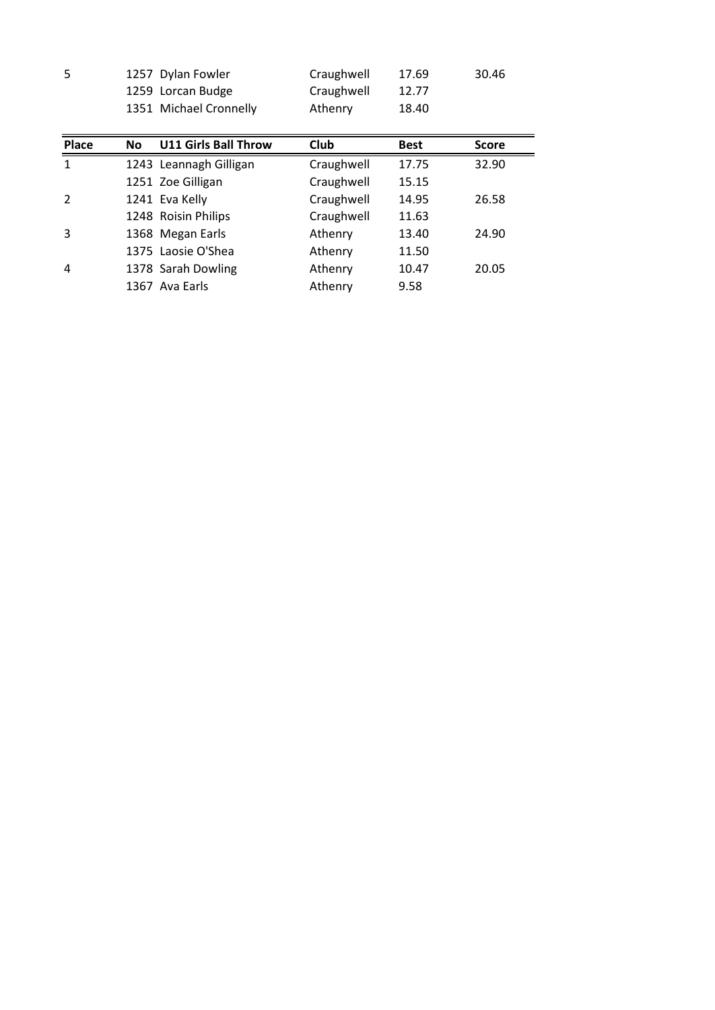| 1257 Dylan Fowler<br>Craughwell<br>30.46<br>17.69<br>Craughwell<br>1259 Lorcan Budge<br>12.77<br>1351 Michael Cronnelly<br>Athenry<br>18.40<br><b>U11 Girls Ball Throw</b><br>Club<br><b>No</b><br><b>Best</b><br><b>Score</b> | <b>Place</b> |  |  |  |
|--------------------------------------------------------------------------------------------------------------------------------------------------------------------------------------------------------------------------------|--------------|--|--|--|
|                                                                                                                                                                                                                                |              |  |  |  |
|                                                                                                                                                                                                                                |              |  |  |  |
|                                                                                                                                                                                                                                |              |  |  |  |
|                                                                                                                                                                                                                                |              |  |  |  |
|                                                                                                                                                                                                                                | 5            |  |  |  |
|                                                                                                                                                                                                                                |              |  |  |  |

| ⊃            |           | IZJ/Dyidii FOWIEI           | Craughwell | 17.09       | 30.40        |
|--------------|-----------|-----------------------------|------------|-------------|--------------|
|              |           | 1259 Lorcan Budge           | Craughwell | 12.77       |              |
|              |           | 1351 Michael Cronnelly      | Athenry    | 18.40       |              |
|              |           |                             |            |             |              |
| Place        | <b>No</b> | <b>U11 Girls Ball Throw</b> | Club       | <b>Best</b> | <b>Score</b> |
| $\mathbf{1}$ |           | 1243 Leannagh Gilligan      | Craughwell | 17.75       | 32.90        |
|              |           | 1251 Zoe Gilligan           | Craughwell | 15.15       |              |
| 2            |           | 1241 Eva Kelly              | Craughwell | 14.95       | 26.58        |
|              |           | 1248 Roisin Philips         | Craughwell | 11.63       |              |
| 3            |           | 1368 Megan Earls            | Athenry    | 13.40       | 24.90        |
|              |           | 1375 Laosie O'Shea          | Athenry    | 11.50       |              |
| 4            |           | 1378 Sarah Dowling          | Athenry    | 10.47       | 20.05        |
|              |           | 1367 Ava Earls              | Athenry    | 9.58        |              |